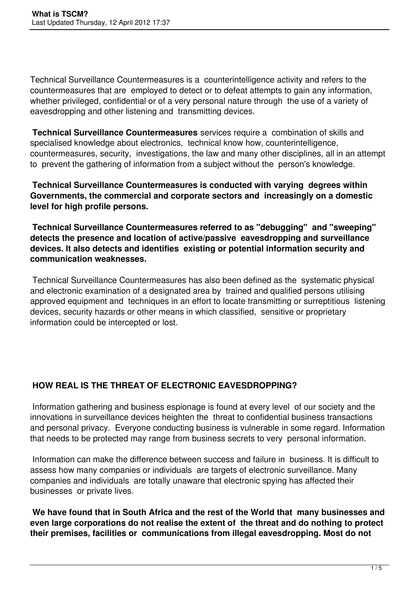Technical Surveillance Countermeasures is a counterintelligence activity and refers to the countermeasures that are employed to detect or to defeat attempts to gain any information, whether privileged, confidential or of a very personal nature through the use of a variety of eavesdropping and other listening and transmitting devices.

**Technical Surveillance Countermeasures** services require a combination of skills and specialised knowledge about electronics, technical know how, counterintelligence, countermeasures, security, investigations, the law and many other disciplines, all in an attempt to prevent the gathering of information from a subject without the person's knowledge.

**Technical Surveillance Countermeasures is conducted with varying degrees within Governments, the commercial and corporate sectors and increasingly on a domestic level for high profile persons.** 

**Technical Surveillance Countermeasures referred to as "debugging" and "sweeping" detects the presence and location of active/passive eavesdropping and surveillance devices. It also detects and identifies existing or potential information security and communication weaknesses.**

 Technical Surveillance Countermeasures has also been defined as the systematic physical and electronic examination of a designated area by trained and qualified persons utilising approved equipment and techniques in an effort to locate transmitting or surreptitious listening devices, security hazards or other means in which classified, sensitive or proprietary information could be intercepted or lost.

# **HOW REAL IS THE THREAT OF ELECTRONIC EAVESDROPPING?**

 Information gathering and business espionage is found at every level of our society and the innovations in surveillance devices heighten the threat to confidential business transactions and personal privacy. Everyone conducting business is vulnerable in some regard. Information that needs to be protected may range from business secrets to very personal information.

 Information can make the difference between success and failure in business. It is difficult to assess how many companies or individuals are targets of electronic surveillance. Many companies and individuals are totally unaware that electronic spying has affected their businesses or private lives.

**We have found that in South Africa and the rest of the World that many businesses and even large corporations do not realise the extent of the threat and do nothing to protect their premises, facilities or communications from illegal eavesdropping. Most do not**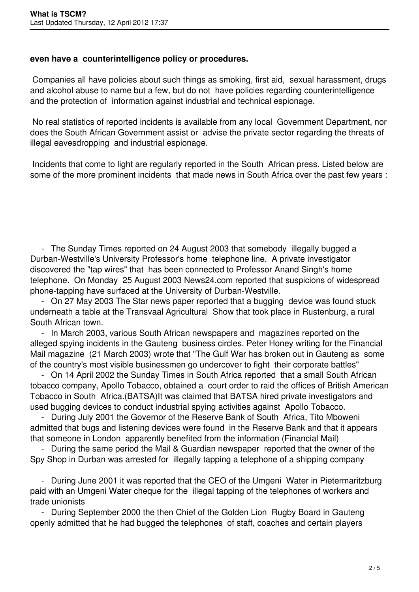#### **even have a counterintelligence policy or procedures.**

 Companies all have policies about such things as smoking, first aid, sexual harassment, drugs and alcohol abuse to name but a few, but do not have policies regarding counterintelligence and the protection of information against industrial and technical espionage.

 No real statistics of reported incidents is available from any local Government Department, nor does the South African Government assist or advise the private sector regarding the threats of illegal eavesdropping and industrial espionage.

 Incidents that come to light are regularly reported in the South African press. Listed below are some of the more prominent incidents that made news in South Africa over the past few years :

 - The Sunday Times reported on 24 August 2003 that somebody illegally bugged a Durban-Westville's University Professor's home telephone line. A private investigator discovered the "tap wires" that has been connected to Professor Anand Singh's home telephone. On Monday 25 August 2003 News24.com reported that suspicions of widespread phone-tapping have surfaced at the University of Durban-Westville.

 - On 27 May 2003 The Star news paper reported that a bugging device was found stuck underneath a table at the Transvaal Agricultural Show that took place in Rustenburg, a rural South African town.

 - In March 2003, various South African newspapers and magazines reported on the alleged spying incidents in the Gauteng business circles. Peter Honey writing for the Financial Mail magazine (21 March 2003) wrote that "The Gulf War has broken out in Gauteng as some of the country's most visible businessmen go undercover to fight their corporate battles"

 - On 14 April 2002 the Sunday Times in South Africa reported that a small South African tobacco company, Apollo Tobacco, obtained a court order to raid the offices of British American Tobacco in South Africa.(BATSA)It was claimed that BATSA hired private investigators and used bugging devices to conduct industrial spying activities against Apollo Tobacco.

 - During July 2001 the Governor of the Reserve Bank of South Africa, Tito Mboweni admitted that bugs and listening devices were found in the Reserve Bank and that it appears that someone in London apparently benefited from the information (Financial Mail)

 - During the same period the Mail & Guardian newspaper reported that the owner of the Spy Shop in Durban was arrested for illegally tapping a telephone of a shipping company

 - During June 2001 it was reported that the CEO of the Umgeni Water in Pietermaritzburg paid with an Umgeni Water cheque for the illegal tapping of the telephones of workers and trade unionists

 - During September 2000 the then Chief of the Golden Lion Rugby Board in Gauteng openly admitted that he had bugged the telephones of staff, coaches and certain players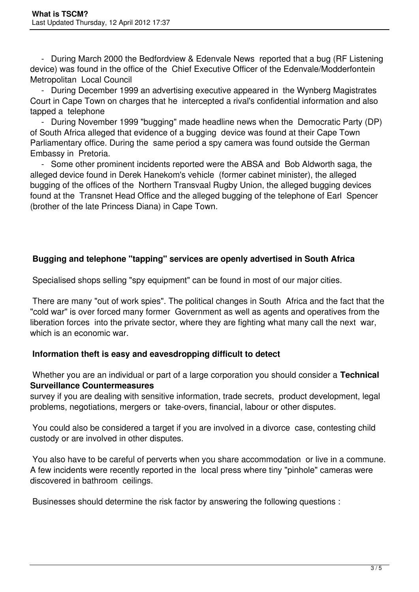- During March 2000 the Bedfordview & Edenvale News reported that a bug (RF Listening device) was found in the office of the Chief Executive Officer of the Edenvale/Modderfontein Metropolitan Local Council

 - During December 1999 an advertising executive appeared in the Wynberg Magistrates Court in Cape Town on charges that he intercepted a rival's confidential information and also tapped a telephone

 - During November 1999 "bugging" made headline news when the Democratic Party (DP) of South Africa alleged that evidence of a bugging device was found at their Cape Town Parliamentary office. During the same period a spy camera was found outside the German Embassy in Pretoria.

 - Some other prominent incidents reported were the ABSA and Bob Aldworth saga, the alleged device found in Derek Hanekom's vehicle (former cabinet minister), the alleged bugging of the offices of the Northern Transvaal Rugby Union, the alleged bugging devices found at the Transnet Head Office and the alleged bugging of the telephone of Earl Spencer (brother of the late Princess Diana) in Cape Town.

# **Bugging and telephone "tapping" services are openly advertised in South Africa**

Specialised shops selling "spy equipment" can be found in most of our major cities.

 There are many "out of work spies". The political changes in South Africa and the fact that the "cold war" is over forced many former Government as well as agents and operatives from the liberation forces into the private sector, where they are fighting what many call the next war, which is an economic war.

#### **Information theft is easy and eavesdropping difficult to detect**

 Whether you are an individual or part of a large corporation you should consider a **Technical Surveillance Countermeasures**

survey if you are dealing with sensitive information, trade secrets, product development, legal problems, negotiations, mergers or take-overs, financial, labour or other disputes.

 You could also be considered a target if you are involved in a divorce case, contesting child custody or are involved in other disputes.

 You also have to be careful of perverts when you share accommodation or live in a commune. A few incidents were recently reported in the local press where tiny "pinhole" cameras were discovered in bathroom ceilings.

Businesses should determine the risk factor by answering the following questions :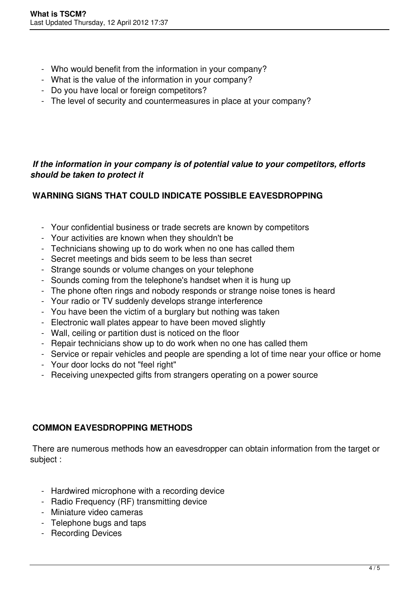- Who would benefit from the information in your company?
- What is the value of the information in your company?
- Do you have local or foreign competitors?
- The level of security and countermeasures in place at your company?

### *If the information in your company is of potential value to your competitors, efforts should be taken to protect it*

# **WARNING SIGNS THAT COULD INDICATE POSSIBLE EAVESDROPPING**

- Your confidential business or trade secrets are known by competitors
- Your activities are known when they shouldn't be
- Technicians showing up to do work when no one has called them
- Secret meetings and bids seem to be less than secret
- Strange sounds or volume changes on your telephone
- Sounds coming from the telephone's handset when it is hung up
- The phone often rings and nobody responds or strange noise tones is heard
- Your radio or TV suddenly develops strange interference
- You have been the victim of a burglary but nothing was taken
- Electronic wall plates appear to have been moved slightly
- Wall, ceiling or partition dust is noticed on the floor
- Repair technicians show up to do work when no one has called them
- Service or repair vehicles and people are spending a lot of time near your office or home
- Your door locks do not "feel right"
- Receiving unexpected gifts from strangers operating on a power source

#### **COMMON EAVESDROPPING METHODS**

 There are numerous methods how an eavesdropper can obtain information from the target or subject :

- Hardwired microphone with a recording device
- Radio Frequency (RF) transmitting device
- Miniature video cameras
- Telephone bugs and taps
- Recording Devices